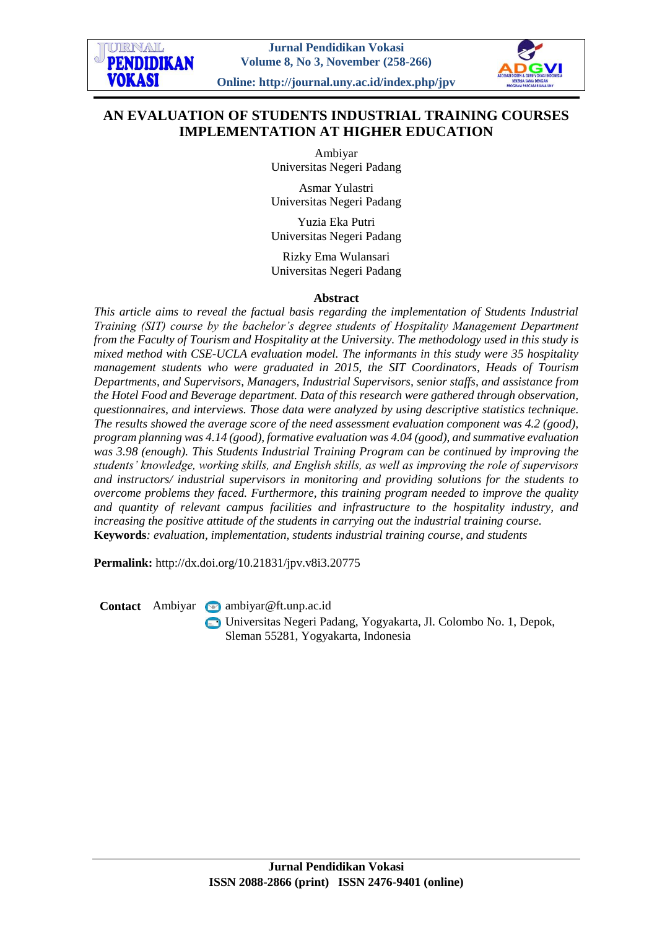# **AN EVALUATION OF STUDENTS INDUSTRIAL TRAINING COURSES IMPLEMENTATION AT HIGHER EDUCATION**

Ambiyar Universitas Negeri Padang

Asmar Yulastri Universitas Negeri Padang

Yuzia Eka Putri Universitas Negeri Padang

Rizky Ema Wulansari Universitas Negeri Padang

#### **Abstract**

*This article aims to reveal the factual basis regarding the implementation of Students Industrial Training (SIT) course by the bachelor's degree students of Hospitality Management Department from the Faculty of Tourism and Hospitality at the University. The methodology used in this study is mixed method with CSE-UCLA evaluation model. The informants in this study were 35 hospitality management students who were graduated in 2015, the SIT Coordinators, Heads of Tourism Departments, and Supervisors, Managers, Industrial Supervisors, senior staffs, and assistance from the Hotel Food and Beverage department. Data of this research were gathered through observation, questionnaires, and interviews. Those data were analyzed by using descriptive statistics technique. The results showed the average score of the need assessment evaluation component was 4.2 (good), program planning was 4.14 (good), formative evaluation was 4.04 (good), and summative evaluation was 3.98 (enough). This Students Industrial Training Program can be continued by improving the students' knowledge, working skills, and English skills, as well as improving the role of supervisors and instructors/ industrial supervisors in monitoring and providing solutions for the students to overcome problems they faced. Furthermore, this training program needed to improve the quality and quantity of relevant campus facilities and infrastructure to the hospitality industry, and increasing the positive attitude of the students in carrying out the industrial training course.* **Keywords***: evaluation, implementation, students industrial training course, and students*

**Permalink:** http://dx.doi.org/10.21831/jpv.v8i3.20775

**Contact** Ambiyar **ambiyar** @ft.unp.ac.id

Universitas Negeri Padang, Yogyakarta, Jl. Colombo No. 1, Depok, Sleman 55281, Yogyakarta, Indonesia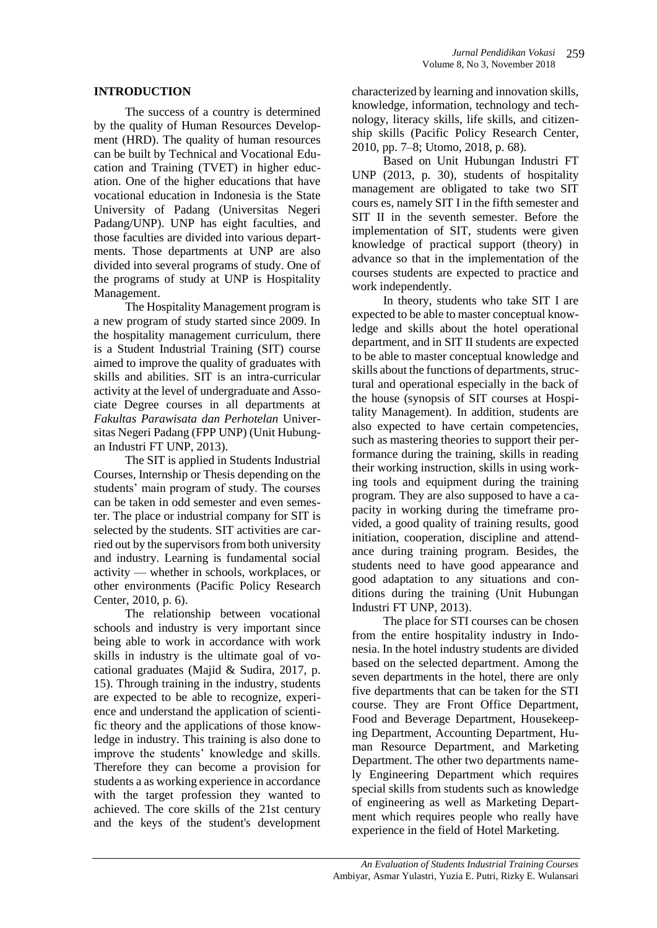#### **INTRODUCTION**

The success of a country is determined by the quality of Human Resources Development (HRD). The quality of human resources can be built by Technical and Vocational Education and Training (TVET) in higher education. One of the higher educations that have vocational education in Indonesia is the State University of Padang (Universitas Negeri Padang/UNP). UNP has eight faculties, and those faculties are divided into various departments. Those departments at UNP are also divided into several programs of study. One of the programs of study at UNP is Hospitality Management.

The Hospitality Management program is a new program of study started since 2009. In the hospitality management curriculum, there is a Student Industrial Training (SIT) course aimed to improve the quality of graduates with skills and abilities. SIT is an intra-curricular activity at the level of undergraduate and Associate Degree courses in all departments at *Fakultas Parawisata dan Perhotelan* Universitas Negeri Padang (FPP UNP) (Unit Hubungan Industri FT UNP, 2013).

The SIT is applied in Students Industrial Courses, Internship or Thesis depending on the students' main program of study. The courses can be taken in odd semester and even semester. The place or industrial company for SIT is selected by the students. SIT activities are carried out by the supervisors from both university and industry. Learning is fundamental social activity — whether in schools, workplaces, or other environments (Pacific Policy Research Center, 2010, p. 6).

The relationship between vocational schools and industry is very important since being able to work in accordance with work skills in industry is the ultimate goal of vocational graduates (Majid & Sudira, 2017, p. 15). Through training in the industry, students are expected to be able to recognize, experience and understand the application of scientific theory and the applications of those knowledge in industry. This training is also done to improve the students' knowledge and skills. Therefore they can become a provision for students a as working experience in accordance with the target profession they wanted to achieved. The core skills of the 21st century and the keys of the student's development

characterized by learning and innovation skills, knowledge, information, technology and technology, literacy skills, life skills, and citizenship skills (Pacific Policy Research Center, 2010, pp. 7–8; Utomo, 2018, p. 68).

Based on Unit Hubungan Industri FT UNP (2013, p. 30), students of hospitality management are obligated to take two SIT cours es, namely SIT I in the fifth semester and SIT II in the seventh semester. Before the implementation of SIT, students were given knowledge of practical support (theory) in advance so that in the implementation of the courses students are expected to practice and work independently.

In theory, students who take SIT I are expected to be able to master conceptual knowledge and skills about the hotel operational department, and in SIT II students are expected to be able to master conceptual knowledge and skills about the functions of departments, structural and operational especially in the back of the house (synopsis of SIT courses at Hospitality Management). In addition, students are also expected to have certain competencies, such as mastering theories to support their performance during the training, skills in reading their working instruction, skills in using working tools and equipment during the training program. They are also supposed to have a capacity in working during the timeframe provided, a good quality of training results, good initiation, cooperation, discipline and attendance during training program. Besides, the students need to have good appearance and good adaptation to any situations and conditions during the training (Unit Hubungan Industri FT UNP, 2013).

The place for STI courses can be chosen from the entire hospitality industry in Indonesia. In the hotel industry students are divided based on the selected department. Among the seven departments in the hotel, there are only five departments that can be taken for the STI course. They are Front Office Department, Food and Beverage Department, Housekeeping Department, Accounting Department, Human Resource Department, and Marketing Department. The other two departments namely Engineering Department which requires special skills from students such as knowledge of engineering as well as Marketing Department which requires people who really have experience in the field of Hotel Marketing.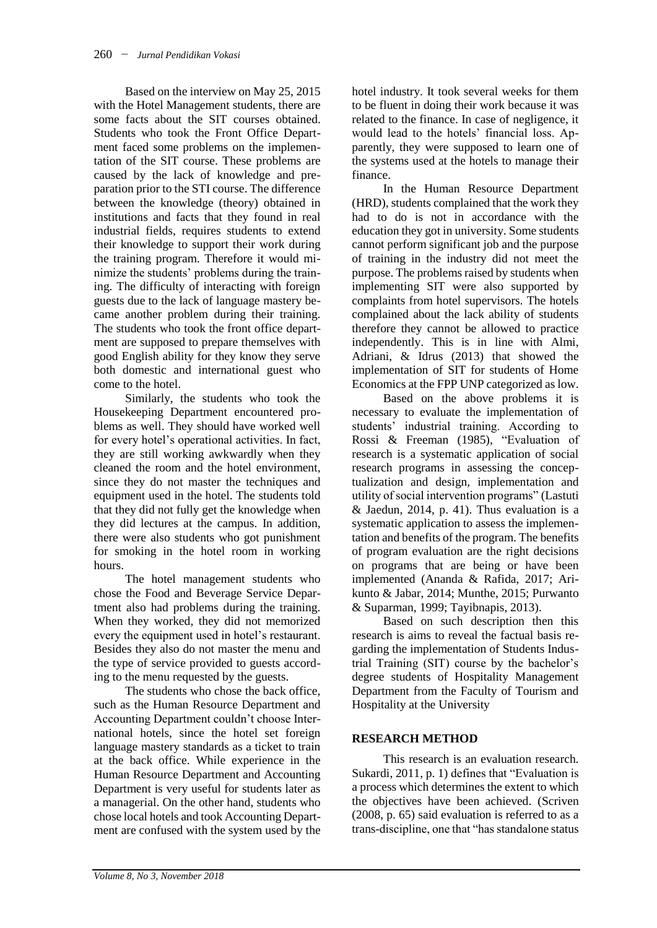Based on the interview on May 25, 2015 with the Hotel Management students, there are some facts about the SIT courses obtained. Students who took the Front Office Department faced some problems on the implementation of the SIT course. These problems are caused by the lack of knowledge and preparation prior to the STI course. The difference between the knowledge (theory) obtained in institutions and facts that they found in real industrial fields, requires students to extend their knowledge to support their work during the training program. Therefore it would minimize the students' problems during the training. The difficulty of interacting with foreign guests due to the lack of language mastery became another problem during their training. The students who took the front office department are supposed to prepare themselves with good English ability for they know they serve both domestic and international guest who come to the hotel.

Similarly, the students who took the Housekeeping Department encountered problems as well. They should have worked well for every hotel's operational activities. In fact, they are still working awkwardly when they cleaned the room and the hotel environment, since they do not master the techniques and equipment used in the hotel. The students told that they did not fully get the knowledge when they did lectures at the campus. In addition, there were also students who got punishment for smoking in the hotel room in working hours.

The hotel management students who chose the Food and Beverage Service Department also had problems during the training. When they worked, they did not memorized every the equipment used in hotel's restaurant. Besides they also do not master the menu and the type of service provided to guests according to the menu requested by the guests.

The students who chose the back office, such as the Human Resource Department and Accounting Department couldn't choose International hotels, since the hotel set foreign language mastery standards as a ticket to train at the back office. While experience in the Human Resource Department and Accounting Department is very useful for students later as a managerial. On the other hand, students who chose local hotels and took Accounting Department are confused with the system used by the hotel industry. It took several weeks for them to be fluent in doing their work because it was related to the finance. In case of negligence, it would lead to the hotels' financial loss. Apparently, they were supposed to learn one of the systems used at the hotels to manage their finance.

In the Human Resource Department (HRD), students complained that the work they had to do is not in accordance with the education they got in university. Some students cannot perform significant job and the purpose of training in the industry did not meet the purpose. The problems raised by students when implementing SIT were also supported by complaints from hotel supervisors. The hotels complained about the lack ability of students therefore they cannot be allowed to practice independently. This is in line with Almi, Adriani, & Idrus (2013) that showed the implementation of SIT for students of Home Economics at the FPP UNP categorized as low.

Based on the above problems it is necessary to evaluate the implementation of students' industrial training. According to Rossi & Freeman (1985), "Evaluation of research is a systematic application of social research programs in assessing the conceptualization and design, implementation and utility of social intervention programs" (Lastuti & Jaedun, 2014, p. 41). Thus evaluation is a systematic application to assess the implementation and benefits of the program. The benefits of program evaluation are the right decisions on programs that are being or have been implemented (Ananda & Rafida, 2017; Arikunto & Jabar, 2014; Munthe, 2015; Purwanto & Suparman, 1999; Tayibnapis, 2013).

Based on such description then this research is aims to reveal the factual basis regarding the implementation of Students Industrial Training (SIT) course by the bachelor's degree students of Hospitality Management Department from the Faculty of Tourism and Hospitality at the University

## **RESEARCH METHOD**

This research is an evaluation research. Sukardi, 2011, p. 1) defines that "Evaluation is a process which determines the extent to which the objectives have been achieved. (Scriven (2008, p. 65) said evaluation is referred to as a trans-discipline, one that "has standalone status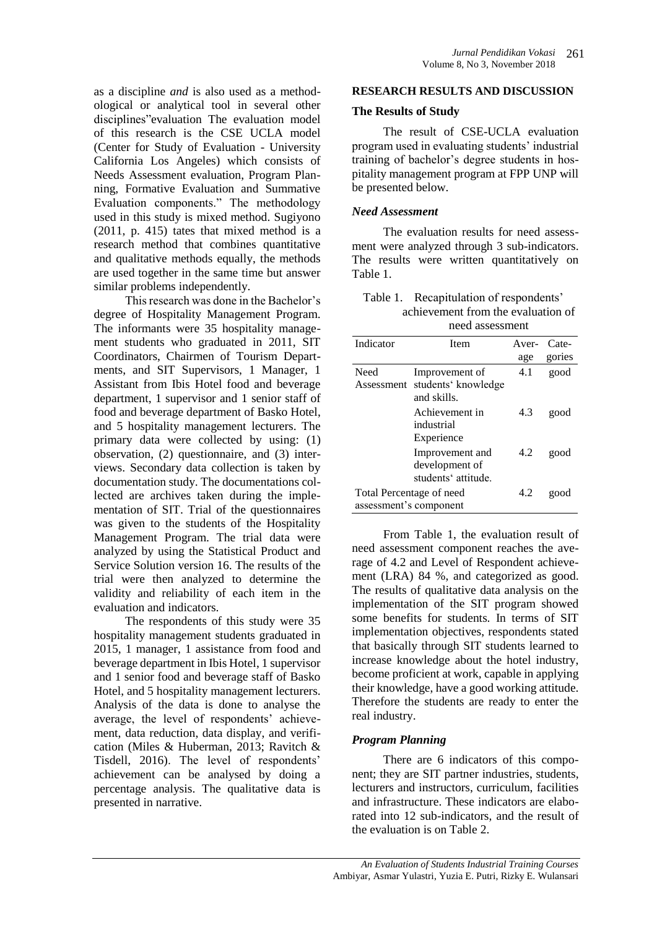as a discipline *and* is also used as a methodological or analytical tool in several other disciplines"evaluation The evaluation model of this research is the CSE UCLA model (Center for Study of Evaluation - University California Los Angeles) which consists of Needs Assessment evaluation, Program Planning, Formative Evaluation and Summative Evaluation components." The methodology used in this study is mixed method. Sugiyono (2011, p. 415) tates that mixed method is a research method that combines quantitative and qualitative methods equally, the methods are used together in the same time but answer similar problems independently.

This research was done in the Bachelor's degree of Hospitality Management Program. The informants were 35 hospitality management students who graduated in 2011, SIT Coordinators, Chairmen of Tourism Departments, and SIT Supervisors, 1 Manager, 1 Assistant from Ibis Hotel food and beverage department, 1 supervisor and 1 senior staff of food and beverage department of Basko Hotel, and 5 hospitality management lecturers. The primary data were collected by using: (1) observation, (2) questionnaire, and (3) interviews. Secondary data collection is taken by documentation study. The documentations collected are archives taken during the implementation of SIT. Trial of the questionnaires was given to the students of the Hospitality Management Program. The trial data were analyzed by using the Statistical Product and Service Solution version 16. The results of the trial were then analyzed to determine the validity and reliability of each item in the evaluation and indicators.

The respondents of this study were 35 hospitality management students graduated in 2015, 1 manager, 1 assistance from food and beverage department in Ibis Hotel, 1 supervisor and 1 senior food and beverage staff of Basko Hotel, and 5 hospitality management lecturers. Analysis of the data is done to analyse the average, the level of respondents' achievement, data reduction, data display, and verification (Miles & Huberman, 2013; Ravitch & Tisdell, 2016). The level of respondents' achievement can be analysed by doing a percentage analysis. The qualitative data is presented in narrative.

#### **RESEARCH RESULTS AND DISCUSSION**

#### **The Results of Study**

The result of CSE-UCLA evaluation program used in evaluating students' industrial training of bachelor's degree students in hospitality management program at FPP UNP will be presented below.

#### *Need Assessment*

The evaluation results for need assessment were analyzed through 3 sub-indicators. The results were written quantitatively on Table 1.

Table 1. Recapitulation of respondents' achievement from the evaluation of need assessment

|                          | ncca assessment                       |       |        |
|--------------------------|---------------------------------------|-------|--------|
| Indicator                | Item                                  | Aver- | Cate-  |
|                          |                                       | age   | gories |
| Need<br>Assessment       | Improvement of<br>students' knowledge | 4.1   | good   |
|                          | and skills.                           |       |        |
|                          | Achievement in<br>industrial          | 4.3   | good   |
|                          | Experience                            |       |        |
|                          | Improvement and<br>development of     | 4.2   | good   |
|                          | students' attitude.                   |       |        |
| Total Percentage of need |                                       | 4.2   | good   |
| assessment's component   |                                       |       |        |

From Table 1, the evaluation result of need assessment component reaches the average of 4.2 and Level of Respondent achievement (LRA) 84 %, and categorized as good. The results of qualitative data analysis on the implementation of the SIT program showed some benefits for students. In terms of SIT implementation objectives, respondents stated that basically through SIT students learned to increase knowledge about the hotel industry, become proficient at work, capable in applying their knowledge, have a good working attitude. Therefore the students are ready to enter the real industry.

#### *Program Planning*

There are 6 indicators of this component; they are SIT partner industries, students, lecturers and instructors, curriculum, facilities and infrastructure. These indicators are elaborated into 12 sub-indicators, and the result of the evaluation is on Table 2.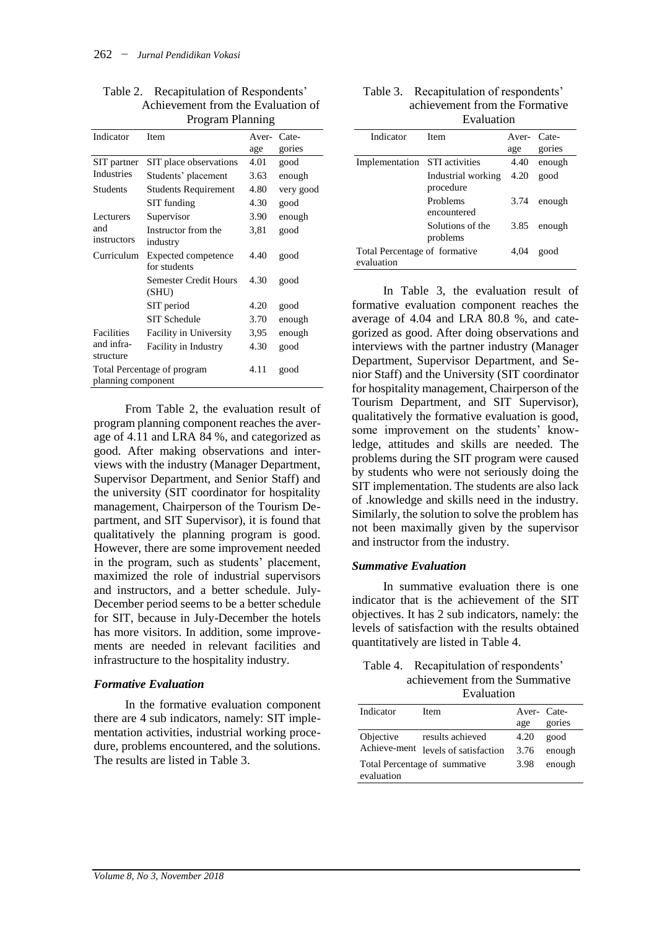|                             | ттодын гтаншид                        |             |           |
|-----------------------------|---------------------------------------|-------------|-----------|
| Indicator                   | <b>Item</b>                           | Aver- Cate- |           |
|                             |                                       | age         | gories    |
| SIT partner                 | SIT place observations                | 4.01        | good      |
| <b>Industries</b>           | Students' placement                   | 3.63        | enough    |
| <b>Students</b>             | <b>Students Requirement</b>           | 4.80        | very good |
|                             | SIT funding                           | 4.30        | good      |
| Lecturers                   | Supervisor                            | 3.90        | enough    |
| and<br>instructors          | Instructor from the<br>industry       | 3,81        | good      |
| Curriculum                  | Expected competence<br>for students   | 4.40        | good      |
|                             | <b>Semester Credit Hours</b><br>(SHU) | 4.30        | good      |
|                             | SIT period                            | 4.20        | good      |
|                             | SIT Schedule                          | 3.70        | enough    |
| <b>Facilities</b>           | Facility in University                | 3,95        | enough    |
| and infra-<br>structure     | Facility in Industry                  | 4.30        | good      |
| Total Percentage of program |                                       | 4.11        | good      |
| planning component          |                                       |             |           |

Table 2. Recapitulation of Respondents' Achievement from the Evaluation of Program Planning

From Table 2, the evaluation result of program planning component reaches the average of 4.11 and LRA 84 %, and categorized as good. After making observations and interviews with the industry (Manager Department, Supervisor Department, and Senior Staff) and the university (SIT coordinator for hospitality management, Chairperson of the Tourism Department, and SIT Supervisor), it is found that qualitatively the planning program is good. However, there are some improvement needed in the program, such as students' placement, maximized the role of industrial supervisors and instructors, and a better schedule. July-December period seems to be a better schedule for SIT, because in July-December the hotels has more visitors. In addition, some improvements are needed in relevant facilities and infrastructure to the hospitality industry.

#### *Formative Evaluation*

In the formative evaluation component there are 4 sub indicators, namely: SIT implementation activities, industrial working procedure, problems encountered, and the solutions. The results are listed in Table 3.

| Table 3. Recapitulation of respondents' |  |
|-----------------------------------------|--|
| achievement from the Formative          |  |
| Evaluation                              |  |

| Indicator                                   | <b>Item</b>                     | Aver- Cate- |        |
|---------------------------------------------|---------------------------------|-------------|--------|
|                                             |                                 | age         | gories |
| Implementation                              | <b>STI</b> activities           | 4.40        | enough |
|                                             | Industrial working<br>procedure | 4.20        | good   |
|                                             | Problems<br>encountered         | 3.74        | enough |
|                                             | Solutions of the<br>problems    | 3.85        | enough |
| Total Percentage of formative<br>evaluation |                                 | 4.04        | good   |

In Table 3, the evaluation result of formative evaluation component reaches the average of 4.04 and LRA 80.8 %, and categorized as good. After doing observations and interviews with the partner industry (Manager Department, Supervisor Department, and Senior Staff) and the University (SIT coordinator for hospitality management, Chairperson of the Tourism Department, and SIT Supervisor), qualitatively the formative evaluation is good, some improvement on the students' knowledge, attitudes and skills are needed. The problems during the SIT program were caused by students who were not seriously doing the SIT implementation. The students are also lack of .knowledge and skills need in the industry. Similarly, the solution to solve the problem has not been maximally given by the supervisor and instructor from the industry.

#### *Summative Evaluation*

In summative evaluation there is one indicator that is the achievement of the SIT objectives. It has 2 sub indicators, namely: the levels of satisfaction with the results obtained quantitatively are listed in Table 4.

| Table 4. Recapitulation of respondents' |
|-----------------------------------------|
| achievement from the Summative          |
|                                         |

|                                             | Evaluation             |            |        |
|---------------------------------------------|------------------------|------------|--------|
| Indicator                                   | Item                   | Aver-Cate- |        |
|                                             |                        | age        | gories |
| Objective                                   | results achieved       | 4.20       | good   |
| Achieve-ment                                | levels of satisfaction | 3.76       | enough |
| Total Percentage of summative<br>evaluation |                        | 3.98       | enough |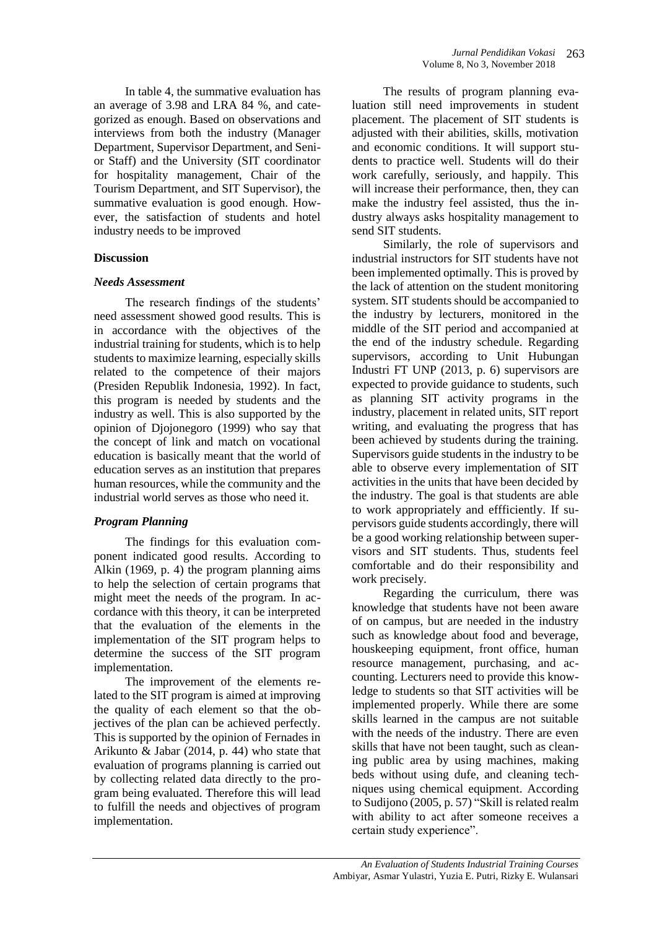In table 4, the summative evaluation has an average of 3.98 and LRA 84 %, and categorized as enough. Based on observations and interviews from both the industry (Manager Department, Supervisor Department, and Senior Staff) and the University (SIT coordinator for hospitality management, Chair of the Tourism Department, and SIT Supervisor), the summative evaluation is good enough. However, the satisfaction of students and hotel industry needs to be improved

#### **Discussion**

#### *Needs Assessment*

The research findings of the students' need assessment showed good results. This is in accordance with the objectives of the industrial training for students, which is to help students to maximize learning, especially skills related to the competence of their majors (Presiden Republik Indonesia, 1992). In fact, this program is needed by students and the industry as well. This is also supported by the opinion of Djojonegoro (1999) who say that the concept of link and match on vocational education is basically meant that the world of education serves as an institution that prepares human resources, while the community and the industrial world serves as those who need it.

## *Program Planning*

The findings for this evaluation component indicated good results. According to Alkin (1969, p. 4) the program planning aims to help the selection of certain programs that might meet the needs of the program. In accordance with this theory, it can be interpreted that the evaluation of the elements in the implementation of the SIT program helps to determine the success of the SIT program implementation.

The improvement of the elements related to the SIT program is aimed at improving the quality of each element so that the objectives of the plan can be achieved perfectly. This is supported by the opinion of Fernades in Arikunto & Jabar (2014, p. 44) who state that evaluation of programs planning is carried out by collecting related data directly to the program being evaluated. Therefore this will lead to fulfill the needs and objectives of program implementation.

The results of program planning evaluation still need improvements in student placement. The placement of SIT students is adjusted with their abilities, skills, motivation and economic conditions. It will support students to practice well. Students will do their work carefully, seriously, and happily. This will increase their performance, then, they can make the industry feel assisted, thus the industry always asks hospitality management to send SIT students.

Similarly, the role of supervisors and industrial instructors for SIT students have not been implemented optimally. This is proved by the lack of attention on the student monitoring system. SIT students should be accompanied to the industry by lecturers, monitored in the middle of the SIT period and accompanied at the end of the industry schedule. Regarding supervisors, according to Unit Hubungan Industri FT UNP (2013, p. 6) supervisors are expected to provide guidance to students, such as planning SIT activity programs in the industry, placement in related units, SIT report writing, and evaluating the progress that has been achieved by students during the training. Supervisors guide students in the industry to be able to observe every implementation of SIT activities in the units that have been decided by the industry. The goal is that students are able to work appropriately and effficiently. If supervisors guide students accordingly, there will be a good working relationship between supervisors and SIT students. Thus, students feel comfortable and do their responsibility and work precisely.

Regarding the curriculum, there was knowledge that students have not been aware of on campus, but are needed in the industry such as knowledge about food and beverage, houskeeping equipment, front office, human resource management, purchasing, and accounting. Lecturers need to provide this knowledge to students so that SIT activities will be implemented properly. While there are some skills learned in the campus are not suitable with the needs of the industry. There are even skills that have not been taught, such as cleaning public area by using machines, making beds without using dufe, and cleaning techniques using chemical equipment. According to Sudijono (2005, p. 57) "Skill is related realm with ability to act after someone receives a certain study experience".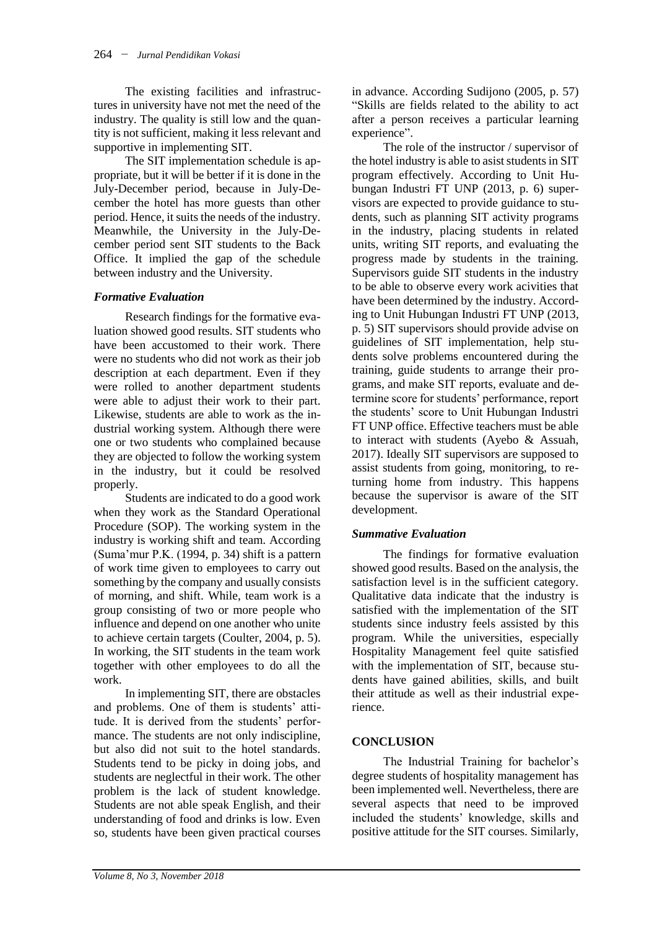The existing facilities and infrastructures in university have not met the need of the industry. The quality is still low and the quantity is not sufficient, making it less relevant and supportive in implementing SIT.

The SIT implementation schedule is appropriate, but it will be better if it is done in the July-December period, because in July-December the hotel has more guests than other period. Hence, it suits the needs of the industry. Meanwhile, the University in the July-December period sent SIT students to the Back Office. It implied the gap of the schedule between industry and the University.

## *Formative Evaluation*

Research findings for the formative evaluation showed good results. SIT students who have been accustomed to their work. There were no students who did not work as their job description at each department. Even if they were rolled to another department students were able to adjust their work to their part. Likewise, students are able to work as the industrial working system. Although there were one or two students who complained because they are objected to follow the working system in the industry, but it could be resolved properly.

Students are indicated to do a good work when they work as the Standard Operational Procedure (SOP). The working system in the industry is working shift and team. According (Suma'mur P.K. (1994, p. 34) shift is a pattern of work time given to employees to carry out something by the company and usually consists of morning, and shift. While, team work is a group consisting of two or more people who influence and depend on one another who unite to achieve certain targets (Coulter, 2004, p. 5). In working, the SIT students in the team work together with other employees to do all the work.

In implementing SIT, there are obstacles and problems. One of them is students' attitude. It is derived from the students' performance. The students are not only indiscipline, but also did not suit to the hotel standards. Students tend to be picky in doing jobs, and students are neglectful in their work. The other problem is the lack of student knowledge. Students are not able speak English, and their understanding of food and drinks is low. Even so, students have been given practical courses

in advance. According Sudijono (2005, p. 57) "Skills are fields related to the ability to act after a person receives a particular learning experience".

The role of the instructor / supervisor of the hotel industry is able to asist students in SIT program effectively. According to Unit Hubungan Industri FT UNP (2013, p. 6) supervisors are expected to provide guidance to students, such as planning SIT activity programs in the industry, placing students in related units, writing SIT reports, and evaluating the progress made by students in the training. Supervisors guide SIT students in the industry to be able to observe every work acivities that have been determined by the industry. According to Unit Hubungan Industri FT UNP (2013, p. 5) SIT supervisors should provide advise on guidelines of SIT implementation, help students solve problems encountered during the training, guide students to arrange their programs, and make SIT reports, evaluate and determine score for students' performance, report the students' score to Unit Hubungan Industri FT UNP office. Effective teachers must be able to interact with students (Ayebo & Assuah, 2017). Ideally SIT supervisors are supposed to assist students from going, monitoring, to returning home from industry. This happens because the supervisor is aware of the SIT development.

## *Summative Evaluation*

The findings for formative evaluation showed good results. Based on the analysis, the satisfaction level is in the sufficient category. Qualitative data indicate that the industry is satisfied with the implementation of the SIT students since industry feels assisted by this program. While the universities, especially Hospitality Management feel quite satisfied with the implementation of SIT, because students have gained abilities, skills, and built their attitude as well as their industrial experience.

## **CONCLUSION**

The Industrial Training for bachelor's degree students of hospitality management has been implemented well. Nevertheless, there are several aspects that need to be improved included the students' knowledge, skills and positive attitude for the SIT courses. Similarly,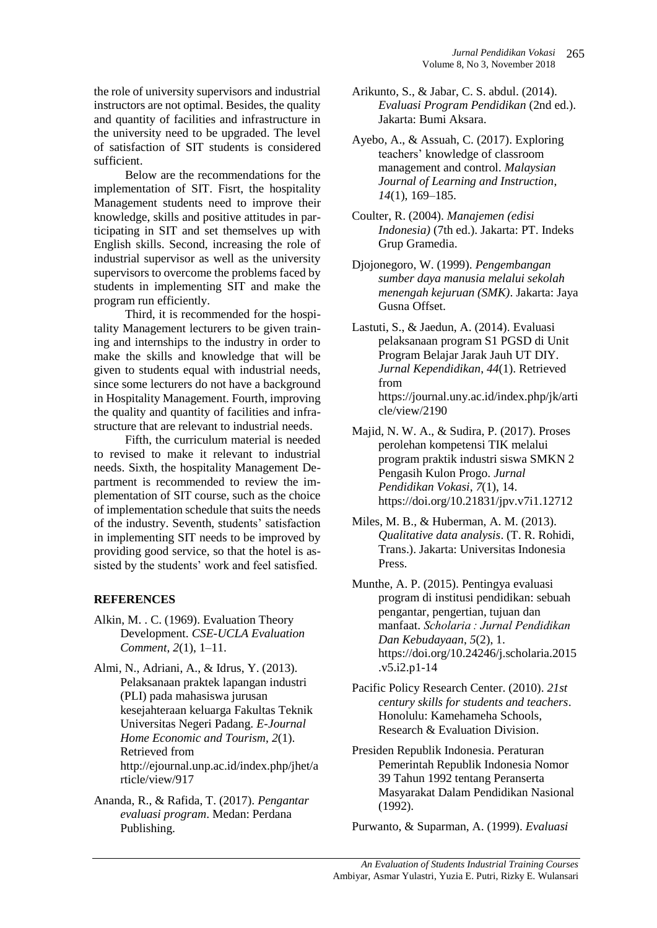the role of university supervisors and industrial instructors are not optimal. Besides, the quality and quantity of facilities and infrastructure in the university need to be upgraded. The level of satisfaction of SIT students is considered sufficient.

Below are the recommendations for the implementation of SIT. Fisrt, the hospitality Management students need to improve their knowledge, skills and positive attitudes in participating in SIT and set themselves up with English skills. Second, increasing the role of industrial supervisor as well as the university supervisors to overcome the problems faced by students in implementing SIT and make the program run efficiently.

Third, it is recommended for the hospitality Management lecturers to be given training and internships to the industry in order to make the skills and knowledge that will be given to students equal with industrial needs, since some lecturers do not have a background in Hospitality Management. Fourth, improving the quality and quantity of facilities and infrastructure that are relevant to industrial needs.

Fifth, the curriculum material is needed to revised to make it relevant to industrial needs. Sixth, the hospitality Management Department is recommended to review the implementation of SIT course, such as the choice of implementation schedule that suits the needs of the industry. Seventh, students' satisfaction in implementing SIT needs to be improved by providing good service, so that the hotel is assisted by the students' work and feel satisfied.

## **REFERENCES**

- Alkin, M. . C. (1969). Evaluation Theory Development. *CSE-UCLA Evaluation Comment*, *2*(1), 1–11.
- Almi, N., Adriani, A., & Idrus, Y. (2013). Pelaksanaan praktek lapangan industri (PLI) pada mahasiswa jurusan kesejahteraan keluarga Fakultas Teknik Universitas Negeri Padang. *E-Journal Home Economic and Tourism*, *2*(1). Retrieved from http://ejournal.unp.ac.id/index.php/jhet/a rticle/view/917
- Ananda, R., & Rafida, T. (2017). *Pengantar evaluasi program*. Medan: Perdana Publishing.
- Arikunto, S., & Jabar, C. S. abdul. (2014). *Evaluasi Program Pendidikan* (2nd ed.). Jakarta: Bumi Aksara.
- Ayebo, A., & Assuah, C. (2017). Exploring teachers' knowledge of classroom management and control. *Malaysian Journal of Learning and Instruction*, *14*(1), 169–185.
- Coulter, R. (2004). *Manajemen (edisi Indonesia)* (7th ed.). Jakarta: PT. Indeks Grup Gramedia.
- Djojonegoro, W. (1999). *Pengembangan sumber daya manusia melalui sekolah menengah kejuruan (SMK)*. Jakarta: Jaya Gusna Offset.
- Lastuti, S., & Jaedun, A. (2014). Evaluasi pelaksanaan program S1 PGSD di Unit Program Belajar Jarak Jauh UT DIY. *Jurnal Kependidikan*, *44*(1). Retrieved from https://journal.uny.ac.id/index.php/jk/arti cle/view/2190
- Majid, N. W. A., & Sudira, P. (2017). Proses perolehan kompetensi TIK melalui program praktik industri siswa SMKN 2 Pengasih Kulon Progo. *Jurnal Pendidikan Vokasi*, *7*(1), 14. https://doi.org/10.21831/jpv.v7i1.12712
- Miles, M. B., & Huberman, A. M. (2013). *Qualitative data analysis*. (T. R. Rohidi, Trans.). Jakarta: Universitas Indonesia Press.
- Munthe, A. P. (2015). Pentingya evaluasi program di institusi pendidikan: sebuah pengantar, pengertian, tujuan dan manfaat. *Scholaria : Jurnal Pendidikan Dan Kebudayaan*, *5*(2), 1. https://doi.org/10.24246/j.scholaria.2015 .v5.i2.p1-14
- Pacific Policy Research Center. (2010). *21st century skills for students and teachers*. Honolulu: Kamehameha Schools, Research & Evaluation Division.
- Presiden Republik Indonesia. Peraturan Pemerintah Republik Indonesia Nomor 39 Tahun 1992 tentang Peranserta Masyarakat Dalam Pendidikan Nasional (1992).

Purwanto, & Suparman, A. (1999). *Evaluasi*